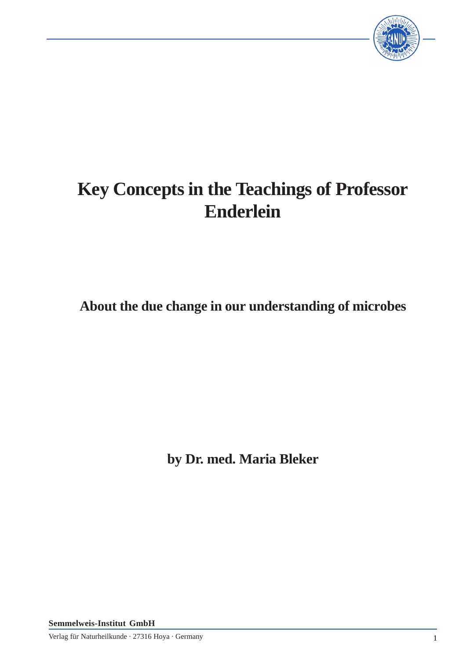

# **Key Concepts in the Teachings of Professor Enderlein**

**About the due change in our understanding of microbes**

**by Dr. med. Maria Bleker**

**Semmelweis-Institut GmbH**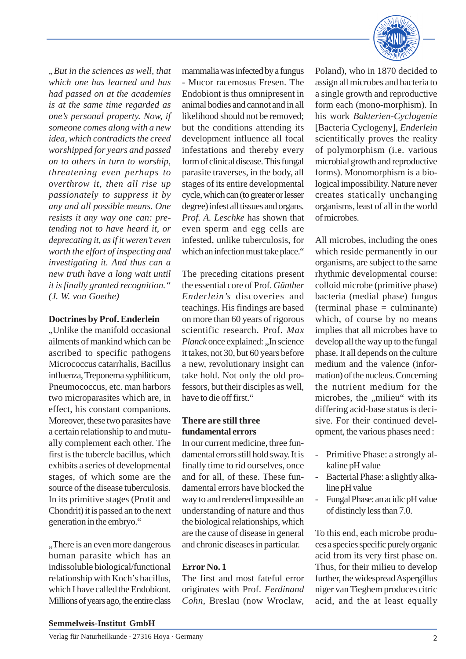*"But in the sciences as well, that which one has learned and has had passed on at the academies is at the same time regarded as one's personal property. Now, if someone comes along with a new idea, which contradicts the creed worshipped for years and passed on to others in turn to worship, threatening even perhaps to overthrow it, then all rise up passionately to suppress it by any and all possible means. One resists it any way one can: pretending not to have heard it, or deprecating it, as if it weren't even worth the effort of inspecting and investigating it. And thus can a new truth have a long wait until it is finally granted recognition." (J. W. von Goethe)*

#### **Doctrines by Prof. Enderlein**

..Unlike the manifold occasional. ailments of mankind which can be ascribed to specific pathogens Micrococcus catarrhalis, Bacillus influenza, Treponema syphiliticum, Pneumococcus, etc. man harbors two microparasites which are, in effect, his constant companions. Moreover, these two parasites have a certain relationship to and mutually complement each other. The first is the tubercle bacillus, which exhibits a series of developmental stages, of which some are the source of the disease tuberculosis. In its primitive stages (Protit and Chondrit) it is passed an to the next generation in the embryo."

"There is an even more dangerous" human parasite which has an indissoluble biological/functional relationship with Koch's bacillus, which I have called the Endobiont. Millions of years ago, the entire class

mammalia was infected by a fungus - Mucor racemosus Fresen. The Endobiont is thus omnipresent in animal bodies and cannot and in all likelihood should not be removed; but the conditions attending its development influence all focal infestations and thereby every form of clinical disease. This fungal parasite traverses, in the body, all stages of its entire developmental cycle, which can (to greater or lesser degree) infest all tissues and organs. *Prof. A. Leschke* has shown that even sperm and egg cells are infested, unlike tuberculosis, for which an infection must take place."

The preceding citations present the essential core of Prof. *Günther Enderlein's* discoveries and teachings. His findings are based on more than 60 years of rigorous scientific research. Prof. *Max Planck* once explained: ..In science it takes, not 30, but 60 years before a new, revolutionary insight can take hold. Not only the old professors, but their disciples as well, have to die off first."

#### **There are still three fundamental errors**

In our current medicine, three fundamental errors still hold sway. It is finally time to rid ourselves, once and for all, of these. These fundamental errors have blocked the way to and rendered impossible an understanding of nature and thus the biological relationships, which are the cause of disease in general and chronic diseases in particular.

#### **Error No. 1**

The first and most fateful error originates with Prof. *Ferdinand Cohn*, Breslau (now Wroclaw,



Poland), who in 1870 decided to assign all microbes and bacteria to a single growth and reproductive form each (mono-morphism). In his work *Bakterien-Cyclogenie* [Bacteria Cyclogeny], *Enderlein* scientifically proves the reality of polymorphism (i.e. various microbial growth and reproductive forms). Monomorphism is a biological impossibility. Nature never creates statically unchanging organisms, least of all in the world of microbes.

All microbes, including the ones which reside permanently in our organisms, are subject to the same rhythmic developmental course: colloid microbe (primitive phase) bacteria (medial phase) fungus (terminal phase = culminante) which, of course by no means implies that all microbes have to develop all the way up to the fungal phase. It all depends on the culture medium and the valence (information) of the nucleus. Concerning the nutrient medium for the microbes, the "milieu" with its differing acid-base status is decisive. For their continued development, the various phases need :

- Primitive Phase: a strongly alkaline pH value
- Bacterial Phase: a slightly alkaline pH value
- Fungal Phase: an acidic pH value of distincly less than 7.0.

To this end, each microbe produces a species specific purely organic acid from its very first phase on. Thus, for their milieu to develop further, the widespread Aspergillus niger van Tieghem produces citric acid, and the at least equally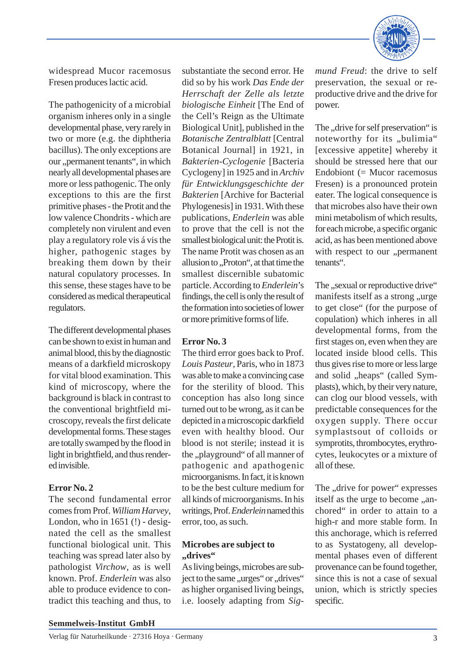

widespread Mucor racemosus Fresen produces lactic acid.

The pathogenicity of a microbial organism inheres only in a single developmental phase, very rarely in two or more (e.g. the diphtheria bacillus). The only exceptions are our "permanent tenants", in which nearly all developmental phases are more or less pathogenic. The only exceptions to this are the first primitive phases - the Protit and the low valence Chondrits - which are completely non virulent and even play a regulatory role vis á vis the higher, pathogenic stages by breaking them down by their natural copulatory processes. In this sense, these stages have to be considered as medical therapeutical regulators.

The different developmental phases can be shown to exist in human and animal blood, this by the diagnostic means of a darkfield microskopy for vital blood examination. This kind of microscopy, where the background is black in contrast to the conventional brightfield microscopy, reveals the first delicate developmental forms. These stages are totally swamped by the flood in light in brightfield, and thus rendered invisible.

#### **Error No. 2**

The second fundamental error comes from Prof. *William Harvey*, London, who in 1651 (!) - designated the cell as the smallest functional biological unit. This teaching was spread later also by pathologist *Virchow*, as is well known. Prof. *Enderlein* was also able to produce evidence to contradict this teaching and thus, to

substantiate the second error. He did so by his work *Das Ende der Herrschaft der Zelle als letzte biologische Einheit* [The End of the Cell's Reign as the Ultimate Biological Unit], published in the *Botanische Zentralblatt* [Central Botanical Journal] in 1921, in *Bakterien-Cyclogenie* [Bacteria Cyclogeny] in 1925 and in *Archiv für Entwicklungsgeschichte der Bakterien* [Archive for Bacterial Phylogenesis] in 1931. With these publications, *Enderlein* was able to prove that the cell is not the smallest biological unit: the Protit is. The name Protit was chosen as an allusion to ..Proton", at that time the smallest discernible subatomic particle. According to *Enderlein*'s findings, the cell is only the result of the formation into societies of lower or more primitive forms of life.

## **Error No. 3**

The third error goes back to Prof. *Louis Pasteur*, Paris, who in 1873 was able to make a convincing case for the sterility of blood. This conception has also long since turned out to be wrong, as it can be depicted in a microscopic darkfield even with healthy blood. Our blood is not sterile; instead it is the "playground" of all manner of pathogenic and apathogenic microorganisms. In fact, it is known to be the best culture medium for all kinds of microorganisms. In his writings, Prof. *Enderlein* named this error, too, as such.

### **Microbes are subject to "drives"**

As living beings, microbes are subject to the same "urges" or "drives" as higher organised living beings, i.e. loosely adapting from *Sig-* *mund Freud*: the drive to self preservation, the sexual or reproductive drive and the drive for power.

The "drive for self preservation" is noteworthy for its "bulimia" [excessive appetite] whereby it should be stressed here that our Endobiont (= Mucor racemosus Fresen) is a pronounced protein eater. The logical consequence is that microbes also have their own mini metabolism of which results, for each microbe, a specific organic acid, as has been mentioned above with respect to our "permanent tenants".

The "sexual or reproductive drive" manifests itself as a strong "urge to get close" (for the purpose of copulation) which inheres in all developmental forms, from the first stages on, even when they are located inside blood cells. This thus gives rise to more or less large and solid "heaps" (called Symplasts), which, by their very nature, can clog our blood vessels, with predictable consequences for the oxygen supply. There occur symplastsout of colloids or symprotits, thrombocytes, erythrocytes, leukocytes or a mixture of all of these.

The "drive for power" expresses itself as the urge to become ,,anchored" in order to attain to a high-r and more stable form. In this anchorage, which is referred to as Systatogeny, all developmental phases even of different provenance can be found together, since this is not a case of sexual union, which is strictly species specific.